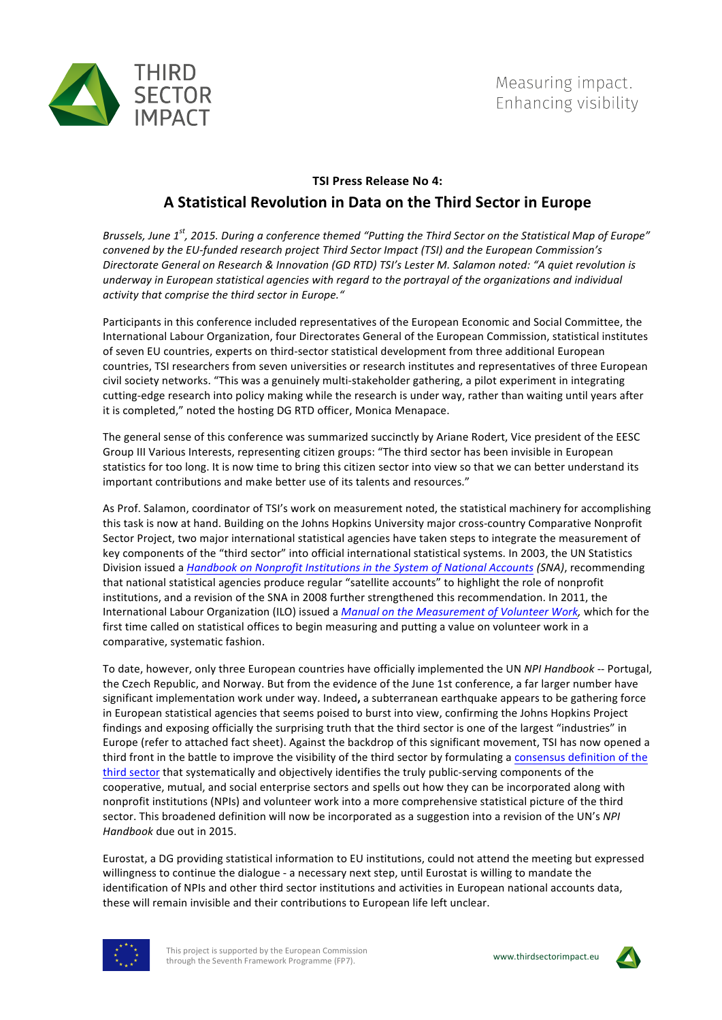

# **TSI Press Release No 4:**

## **A Statistical Revolution in Data on the Third Sector in Europe**

Brussels, June 1<sup>st</sup>, 2015. During a conference themed "Putting the Third Sector on the Statistical Map of Europe" *convened by the EU-funded research project Third Sector Impact (TSI) and the European Commission's Directorate General on Research & Innovation (GD RTD) TSI's Lester M. Salamon noted: "A quiet revolution is*  underway in European statistical agencies with regard to the portrayal of the organizations and individual activity that comprise the third sector in Europe."

Participants in this conference included representatives of the European Economic and Social Committee, the International Labour Organization, four Directorates General of the European Commission, statistical institutes of seven EU countries, experts on third-sector statistical development from three additional European countries. TSI researchers from seven universities or research institutes and representatives of three European civil society networks. "This was a genuinely multi-stakeholder gathering, a pilot experiment in integrating cutting-edge research into policy making while the research is under way, rather than waiting until years after it is completed," noted the hosting DG RTD officer, Monica Menapace.

The general sense of this conference was summarized succinctly by Ariane Rodert, Vice president of the EESC Group III Various Interests, representing citizen groups: "The third sector has been invisible in European statistics for too long. It is now time to bring this citizen sector into view so that we can better understand its important contributions and make better use of its talents and resources."

As Prof. Salamon, coordinator of TSI's work on measurement noted, the statistical machinery for accomplishing this task is now at hand. Building on the Johns Hopkins University major cross-country Comparative Nonprofit Sector Project, two major international statistical agencies have taken steps to integrate the measurement of key components of the "third sector" into official international statistical systems. In 2003, the UN Statistics Division issued a *Handbook on Nonprofit Institutions in the System of National Accounts (SNA)*, recommending that national statistical agencies produce regular "satellite accounts" to highlight the role of nonprofit institutions, and a revision of the SNA in 2008 further strengthened this recommendation. In 2011, the International Labour Organization (ILO) issued a *Manual on the Measurement of Volunteer Work,* which for the first time called on statistical offices to begin measuring and putting a value on volunteer work in a comparative, systematic fashion.

To date, however, only three European countries have officially implemented the UN *NPI Handbook* -- Portugal, the Czech Republic, and Norway. But from the evidence of the June 1st conference, a far larger number have significant implementation work under way. Indeed, a subterranean earthquake appears to be gathering force in European statistical agencies that seems poised to burst into view, confirming the Johns Hopkins Project findings and exposing officially the surprising truth that the third sector is one of the largest "industries" in Europe (refer to attached fact sheet). Against the backdrop of this significant movement, TSI has now opened a third front in the battle to improve the visibility of the third sector by formulating a consensus definition of the third sector that systematically and objectively identifies the truly public-serving components of the cooperative, mutual, and social enterprise sectors and spells out how they can be incorporated along with nonprofit institutions (NPIs) and volunteer work into a more comprehensive statistical picture of the third sector. This broadened definition will now be incorporated as a suggestion into a revision of the UN's *NPI* Handbook due out in 2015.

Eurostat, a DG providing statistical information to EU institutions, could not attend the meeting but expressed willingness to continue the dialogue - a necessary next step, until Eurostat is willing to mandate the identification of NPIs and other third sector institutions and activities in European national accounts data, these will remain invisible and their contributions to European life left unclear.